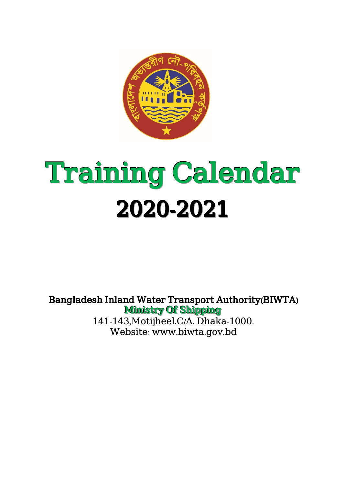

## Training Calendar 2020-2021

Bangladesh Inland Water Transport Authority(BIWTA) Ministry Of Shipping 141-143,Motijheel,C/A, Dhaka-1000. Website: www.biwta.gov.bd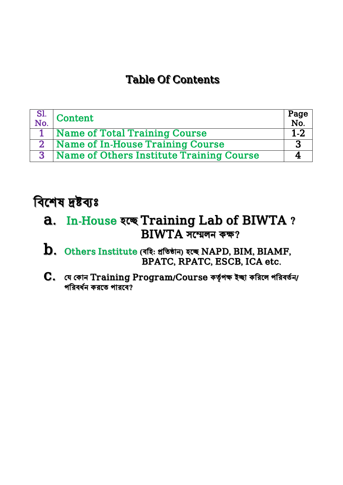## Table Of Contents

| $\begin{array}{c c} \text{SI.} & \text{Content} \\ \text{No.} & \end{array}$ | Page<br>No. |
|------------------------------------------------------------------------------|-------------|
| 1 Name of Total Training Course                                              | $1 - 2$     |
| 2 Name of In-House Training Course                                           |             |
| 3 Name of Others Institute Training Course                                   |             |

## বিশেষ দ্রষ্টব্যঃ

- a. In-House হশে Training Lab of BIWTA ? BIWTA সশেলন কক্ষ?
- $\, {\bf b}. \,$  Others Institute (বহি: প্রতিষ্ঠান) হচ্ছে  $\rm NAPD$ ,  $\rm BIM$ ,  $\rm BIAMF,$ BPATC, RPATC, ESCB, ICA etc.
- $C.$  যে কোন  $\mathrm{Training\,Program/Course}$  কর্তৃপক্ষ ইচ্ছা করিলে পরিবর্তন/ পরিবর্ধন করতে পারবে?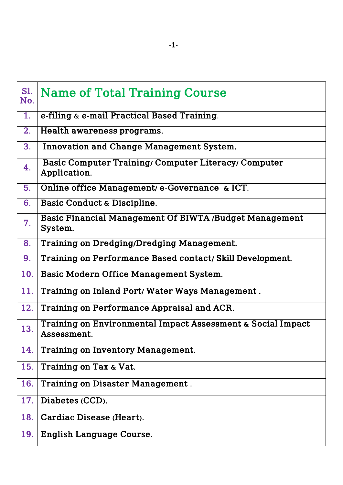| <b>S1.</b><br>No. | <b>Name of Total Training Course</b>                                        |
|-------------------|-----------------------------------------------------------------------------|
| 1.                | e-filing & e-mail Practical Based Training.                                 |
| 2.                | Health awareness programs.                                                  |
| 3.                | <b>Innovation and Change Management System.</b>                             |
| 4.                | <b>Basic Computer Training/ Computer Literacy/ Computer</b><br>Application. |
| 5.                | Online office Management/ e-Governance & ICT.                               |
| 6.                | Basic Conduct & Discipline.                                                 |
| 7.                | Basic Financial Management Of BIWTA /Budget Management<br>System.           |
| 8.                | <b>Training on Dredging/Dredging Management.</b>                            |
| 9.                | Training on Performance Based contact/ Skill Development.                   |
| <b>10.</b>        | Basic Modern Office Management System.                                      |
| 11.               | Training on Inland Port/ Water Ways Management.                             |
| 12.               | Training on Performance Appraisal and ACR.                                  |
| 13.               | Training on Environmental Impact Assessment & Social Impact<br>Assessment.  |
| 14.               | <b>Training on Inventory Management.</b>                                    |
| 15.               | Training on Tax & Vat.                                                      |
| 16.               | <b>Training on Disaster Management.</b>                                     |
| 17.               | Diabetes (CCD).                                                             |
| 18.               | Cardiac Disease (Heart).                                                    |
| 19.               | <b>English Language Course.</b>                                             |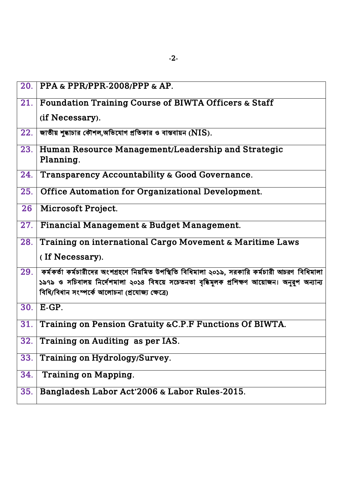| 20. | PPA & PPR/PPR-2008/PPP & AP.                                                                                                                                                                                                                              |
|-----|-----------------------------------------------------------------------------------------------------------------------------------------------------------------------------------------------------------------------------------------------------------|
| 21. | <b>Foundation Training Course of BIWTA Officers &amp; Staff</b>                                                                                                                                                                                           |
|     | (if Necessary).                                                                                                                                                                                                                                           |
| 22. | জাতীয় শুদ্ধাচার কৌশল,অভিযোগ প্রতিকার ও বাস্তবায়ন ( $NIS$ ).                                                                                                                                                                                             |
|     | 23. Human Resource Management/Leadership and Strategic<br>Planning.                                                                                                                                                                                       |
| 24. | Transparency Accountability & Good Governance.                                                                                                                                                                                                            |
| 25. | <b>Office Automation for Organizational Development.</b>                                                                                                                                                                                                  |
| 26  | Microsoft Project.                                                                                                                                                                                                                                        |
| 27. | Financial Management & Budget Management.                                                                                                                                                                                                                 |
| 28. | Training on international Cargo Movement & Maritime Laws                                                                                                                                                                                                  |
|     | (If Necessary).                                                                                                                                                                                                                                           |
|     | $29$ .   কর্মকর্তা কর্মচারীদের অংশগ্রহণে নিয়মিত উপস্থিতি বিধিমালা ২০১৯, সরকারি কর্মচারী আচরণ বিধিমালা<br>১৯৭৯ ও সচিবালয় নির্দেশমালা ২০১৪ বিষয়ে সচেতনতা বৃদ্ধিমূলক প্রশিক্ষণ আয়োজন। অনুরূপ অন্যান্য<br>বিধি/বিধান সংম্পৰ্কে আলোচনা (প্ৰযোজ্য ক্ষেত্ৰে) |
| 30. | $E-GP.$                                                                                                                                                                                                                                                   |
| 31. | Training on Pension Gratuity & C.P.F Functions Of BIWTA.                                                                                                                                                                                                  |
| 32. | Training on Auditing as per IAS.                                                                                                                                                                                                                          |
| 33. | Training on Hydrology/Survey.                                                                                                                                                                                                                             |
| 34. | <b>Training on Mapping.</b>                                                                                                                                                                                                                               |
| 35. | Bangladesh Labor Act'2006 & Labor Rules-2015.                                                                                                                                                                                                             |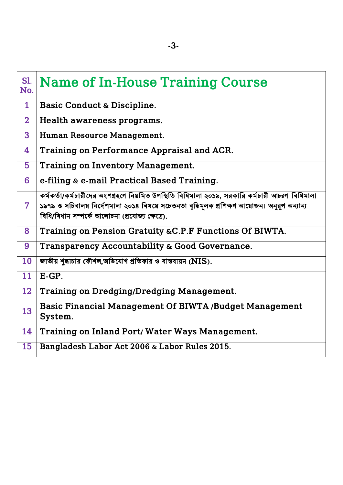| <b>S1.</b><br>No. | <b>Name of In-House Training Course</b>                                                                                                                                                                                                          |
|-------------------|--------------------------------------------------------------------------------------------------------------------------------------------------------------------------------------------------------------------------------------------------|
| $\overline{1}$    | Basic Conduct & Discipline.                                                                                                                                                                                                                      |
| $\overline{2}$    | Health awareness programs.                                                                                                                                                                                                                       |
| $\overline{3}$    | Human Resource Management.                                                                                                                                                                                                                       |
| 4                 | Training on Performance Appraisal and ACR.                                                                                                                                                                                                       |
| 5                 | <b>Training on Inventory Management.</b>                                                                                                                                                                                                         |
| 6                 | e-filing & e-mail Practical Based Training.                                                                                                                                                                                                      |
| 7                 | কর্মকর্তা/কর্মচারীদের অংশগ্রহণে নিয়মিত উপস্থিতি বিধিমালা ২০১৯, সরকারি কর্মচারী আচরণ বিধিমালা<br>১৯৭৯ ও সচিবালয় নির্দেশমালা ২০১৪ বিষয়ে সচেতনতা বৃদ্ধিমূলক প্রশিক্ষণ আয়োজন। অনুরূপ অন্যান্য<br>বিধি/বিধান সম্পৰ্কে আলোচনা (প্ৰযোজ্য ক্ষেত্ৰে). |
| 8                 | Training on Pension Gratuity & C.P.F Functions Of BIWTA.                                                                                                                                                                                         |
| 9                 | Transparency Accountability & Good Governance.                                                                                                                                                                                                   |
| 10                | জাতীয় শুদ্ধাচার কৌশল,অভিযোগ প্রতিকার ও বাস্তবায়ন ( $NIS$ ).                                                                                                                                                                                    |
| 11                | $E-GP.$                                                                                                                                                                                                                                          |
| 12                | <b>Training on Dredging/Dredging Management.</b>                                                                                                                                                                                                 |
| 13                | <b>Basic Financial Management Of BIWTA /Budget Management</b><br>System.                                                                                                                                                                         |
| 14                | Training on Inland Port/ Water Ways Management.                                                                                                                                                                                                  |
| 15                | Bangladesh Labor Act 2006 & Labor Rules 2015.                                                                                                                                                                                                    |